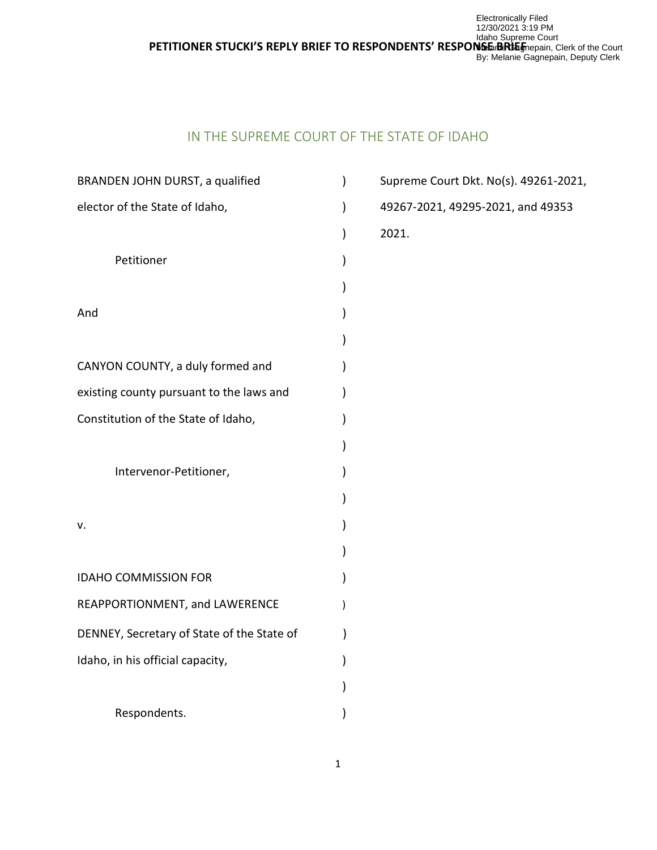ldaho Supreme Court<br>PETITIONER STUCKI'S REPLY BRIEF TO RESPONDENTS' RESPO**NSE BRIEF**mepain, G Electronically Filed 12/30/2021 3:19 PM WebarbHGbagnepain, Clerk of the Court By: Melanie Gagnepain, Deputy Clerk

# IN THE SUPREME COURT OF THE STATE OF IDAHO

| BRANDEN JOHN DURST, a qualified            | Supreme Court Dkt. No(s). 49261-2021, |
|--------------------------------------------|---------------------------------------|
| elector of the State of Idaho,             | 49267-2021, 49295-2021, and 49353     |
|                                            | 2021.                                 |
| Petitioner                                 |                                       |
|                                            |                                       |
| And                                        |                                       |
|                                            |                                       |
| CANYON COUNTY, a duly formed and           |                                       |
| existing county pursuant to the laws and   |                                       |
| Constitution of the State of Idaho,        |                                       |
|                                            |                                       |
| Intervenor-Petitioner,                     |                                       |
|                                            |                                       |
| v.                                         |                                       |
|                                            |                                       |
| <b>IDAHO COMMISSION FOR</b>                |                                       |
| REAPPORTIONMENT, and LAWERENCE             |                                       |
| DENNEY, Secretary of State of the State of |                                       |
| Idaho, in his official capacity,           |                                       |
|                                            |                                       |
| Respondents.                               |                                       |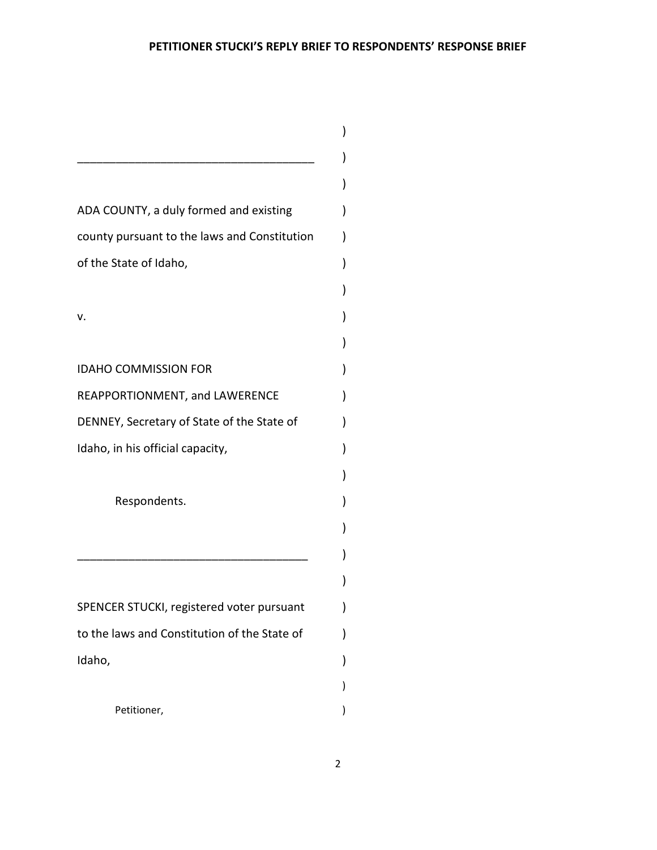| ADA COUNTY, a duly formed and existing       |  |
|----------------------------------------------|--|
| county pursuant to the laws and Constitution |  |
| of the State of Idaho,                       |  |
|                                              |  |
| ν.                                           |  |
|                                              |  |
| <b>IDAHO COMMISSION FOR</b>                  |  |
| REAPPORTIONMENT, and LAWERENCE               |  |
| DENNEY, Secretary of State of the State of   |  |
| Idaho, in his official capacity,             |  |
|                                              |  |
| Respondents.                                 |  |
|                                              |  |
|                                              |  |
|                                              |  |
| SPENCER STUCKI, registered voter pursuant    |  |
| to the laws and Constitution of the State of |  |
| Idaho,                                       |  |
|                                              |  |
| Petitioner,                                  |  |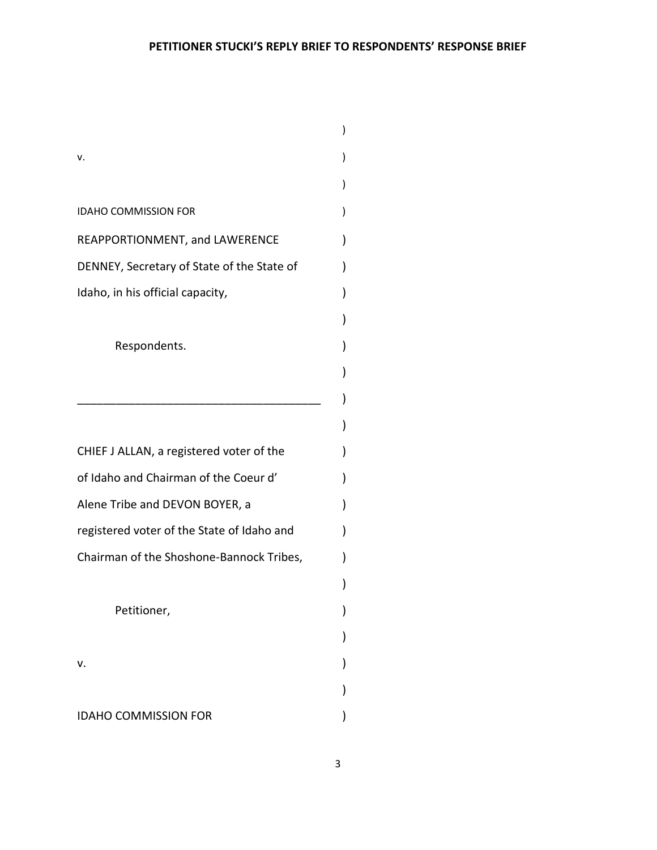| ν.                                                                           |  |  |  |
|------------------------------------------------------------------------------|--|--|--|
|                                                                              |  |  |  |
| <b>IDAHO COMMISSION FOR</b>                                                  |  |  |  |
| REAPPORTIONMENT, and LAWERENCE<br>DENNEY, Secretary of State of the State of |  |  |  |
|                                                                              |  |  |  |
|                                                                              |  |  |  |
| Respondents.                                                                 |  |  |  |
|                                                                              |  |  |  |
|                                                                              |  |  |  |
|                                                                              |  |  |  |
| CHIEF J ALLAN, a registered voter of the                                     |  |  |  |
| of Idaho and Chairman of the Coeur d'                                        |  |  |  |
| Alene Tribe and DEVON BOYER, a                                               |  |  |  |
| registered voter of the State of Idaho and                                   |  |  |  |
| Chairman of the Shoshone-Bannock Tribes,                                     |  |  |  |
|                                                                              |  |  |  |
| Petitioner,                                                                  |  |  |  |
|                                                                              |  |  |  |
| v.                                                                           |  |  |  |
|                                                                              |  |  |  |
| <b>IDAHO COMMISSION FOR</b>                                                  |  |  |  |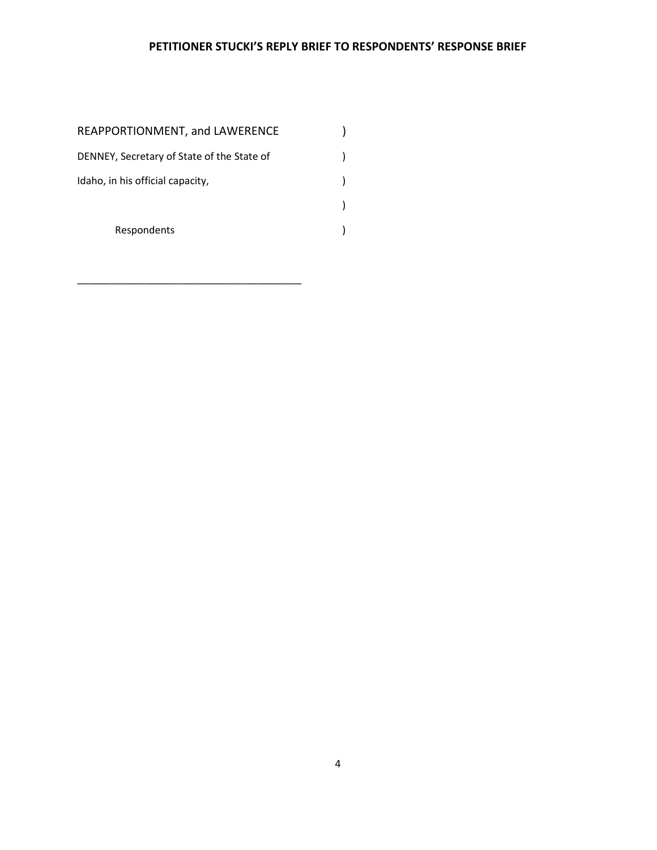| REAPPORTIONMENT, and LAWERENCE             |  |
|--------------------------------------------|--|
| DENNEY, Secretary of State of the State of |  |
| Idaho, in his official capacity,           |  |
|                                            |  |
| Respondents                                |  |

\_\_\_\_\_\_\_\_\_\_\_\_\_\_\_\_\_\_\_\_\_\_\_\_\_\_\_\_\_\_\_\_\_\_\_\_\_\_\_\_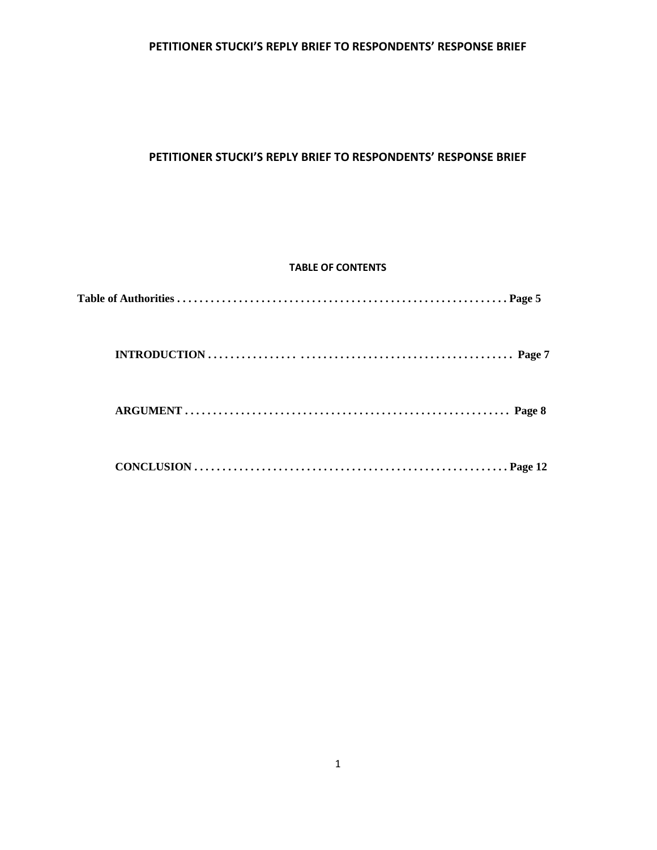## **PETITIONER STUCKI'S REPLY BRIEF TO RESPONDENTS' RESPONSE BRIEF**

## **TABLE OF CONTENTS**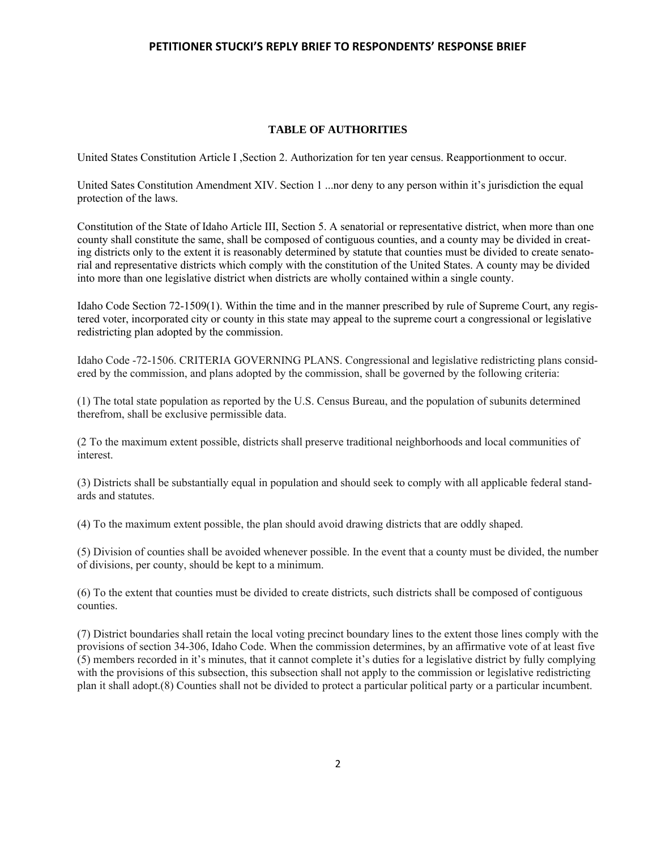#### **TABLE OF AUTHORITIES**

United States Constitution Article I ,Section 2. Authorization for ten year census. Reapportionment to occur.

United Sates Constitution Amendment XIV. Section 1 ...nor deny to any person within it's jurisdiction the equal protection of the laws.

Constitution of the State of Idaho Article III, Section 5. A senatorial or representative district, when more than one county shall constitute the same, shall be composed of contiguous counties, and a county may be divided in creating districts only to the extent it is reasonably determined by statute that counties must be divided to create senatorial and representative districts which comply with the constitution of the United States. A county may be divided into more than one legislative district when districts are wholly contained within a single county.

Idaho Code Section 72-1509(1). Within the time and in the manner prescribed by rule of Supreme Court, any registered voter, incorporated city or county in this state may appeal to the supreme court a congressional or legislative redistricting plan adopted by the commission.

Idaho Code -72-1506. CRITERIA GOVERNING PLANS. Congressional and legislative redistricting plans considered by the commission, and plans adopted by the commission, shall be governed by the following criteria:

(1) The total state population as reported by the U.S. Census Bureau, and the population of subunits determined therefrom, shall be exclusive permissible data.

(2 To the maximum extent possible, districts shall preserve traditional neighborhoods and local communities of interest.

(3) Districts shall be substantially equal in population and should seek to comply with all applicable federal standards and statutes.

(4) To the maximum extent possible, the plan should avoid drawing districts that are oddly shaped.

(5) Division of counties shall be avoided whenever possible. In the event that a county must be divided, the number of divisions, per county, should be kept to a minimum.

(6) To the extent that counties must be divided to create districts, such districts shall be composed of contiguous counties.

(7) District boundaries shall retain the local voting precinct boundary lines to the extent those lines comply with the provisions of section 34-306, Idaho Code. When the commission determines, by an affirmative vote of at least five (5) members recorded in it's minutes, that it cannot complete it's duties for a legislative district by fully complying with the provisions of this subsection, this subsection shall not apply to the commission or legislative redistricting plan it shall adopt.(8) Counties shall not be divided to protect a particular political party or a particular incumbent.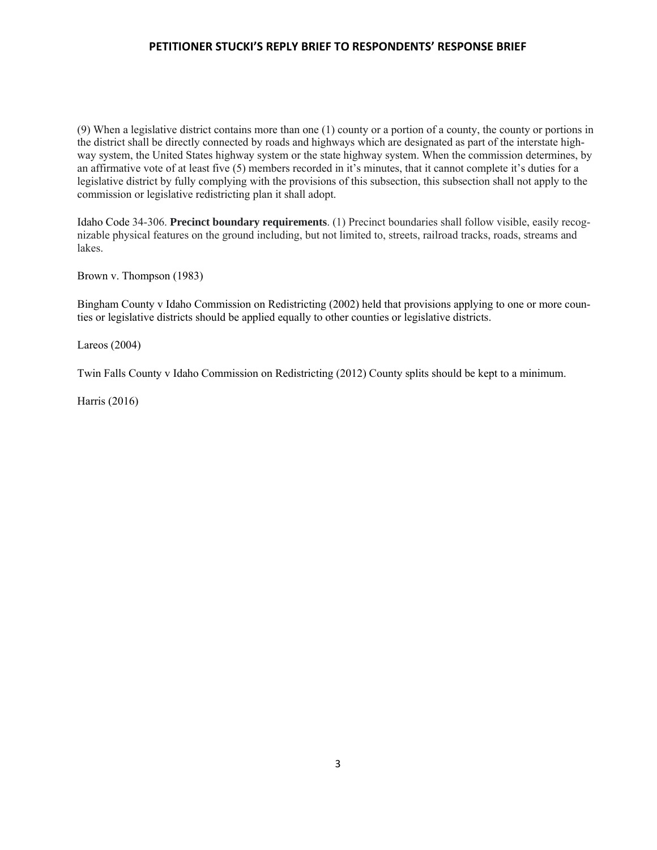(9) When a legislative district contains more than one (1) county or a portion of a county, the county or portions in the district shall be directly connected by roads and highways which are designated as part of the interstate highway system, the United States highway system or the state highway system. When the commission determines, by an affirmative vote of at least five (5) members recorded in it's minutes, that it cannot complete it's duties for a legislative district by fully complying with the provisions of this subsection, this subsection shall not apply to the commission or legislative redistricting plan it shall adopt.

Idaho Code 34-306. **Precinct boundary requirements**. (1) Precinct boundaries shall follow visible, easily recognizable physical features on the ground including, but not limited to, streets, railroad tracks, roads, streams and lakes.

Brown v. Thompson (1983)

Bingham County v Idaho Commission on Redistricting (2002) held that provisions applying to one or more counties or legislative districts should be applied equally to other counties or legislative districts.

Lareos (2004)

Twin Falls County v Idaho Commission on Redistricting (2012) County splits should be kept to a minimum.

Harris (2016)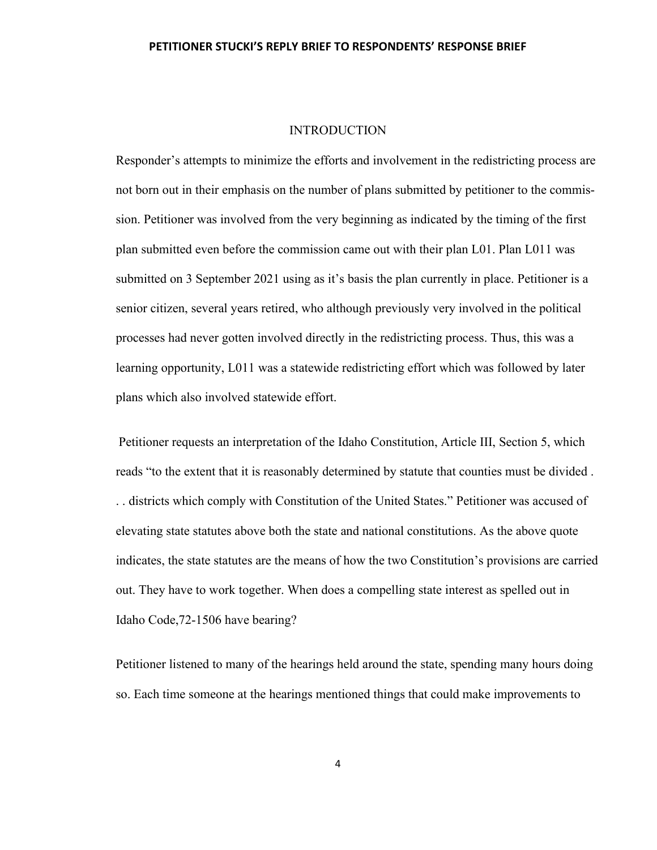### **INTRODUCTION**

Responder's attempts to minimize the efforts and involvement in the redistricting process are not born out in their emphasis on the number of plans submitted by petitioner to the commission. Petitioner was involved from the very beginning as indicated by the timing of the first plan submitted even before the commission came out with their plan L01. Plan L011 was submitted on 3 September 2021 using as it's basis the plan currently in place. Petitioner is a senior citizen, several years retired, who although previously very involved in the political processes had never gotten involved directly in the redistricting process. Thus, this was a learning opportunity, L011 was a statewide redistricting effort which was followed by later plans which also involved statewide effort.

Petitioner requests an interpretation of the Idaho Constitution, Article III, Section 5, which reads "to the extent that it is reasonably determined by statute that counties must be divided . . . districts which comply with Constitution of the United States." Petitioner was accused of elevating state statutes above both the state and national constitutions. As the above quote indicates, the state statutes are the means of how the two Constitution's provisions are carried out. They have to work together. When does a compelling state interest as spelled out in Idaho Code,72-1506 have bearing?

Petitioner listened to many of the hearings held around the state, spending many hours doing so. Each time someone at the hearings mentioned things that could make improvements to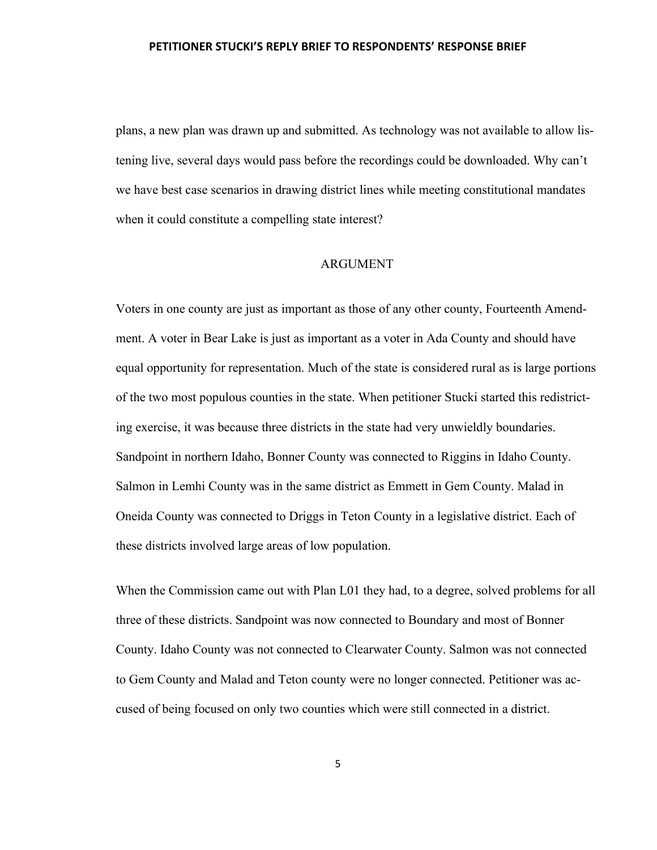plans, a new plan was drawn up and submitted. As technology was not available to allow listening live, several days would pass before the recordings could be downloaded. Why can't we have best case scenarios in drawing district lines while meeting constitutional mandates when it could constitute a compelling state interest?

### ARGUMENT

Voters in one county are just as important as those of any other county, Fourteenth Amendment. A voter in Bear Lake is just as important as a voter in Ada County and should have equal opportunity for representation. Much of the state is considered rural as is large portions of the two most populous counties in the state. When petitioner Stucki started this redistricting exercise, it was because three districts in the state had very unwieldly boundaries. Sandpoint in northern Idaho, Bonner County was connected to Riggins in Idaho County. Salmon in Lemhi County was in the same district as Emmett in Gem County. Malad in Oneida County was connected to Driggs in Teton County in a legislative district. Each of these districts involved large areas of low population.

When the Commission came out with Plan L01 they had, to a degree, solved problems for all three of these districts. Sandpoint was now connected to Boundary and most of Bonner County. Idaho County was not connected to Clearwater County. Salmon was not connected to Gem County and Malad and Teton county were no longer connected. Petitioner was accused of being focused on only two counties which were still connected in a district.

5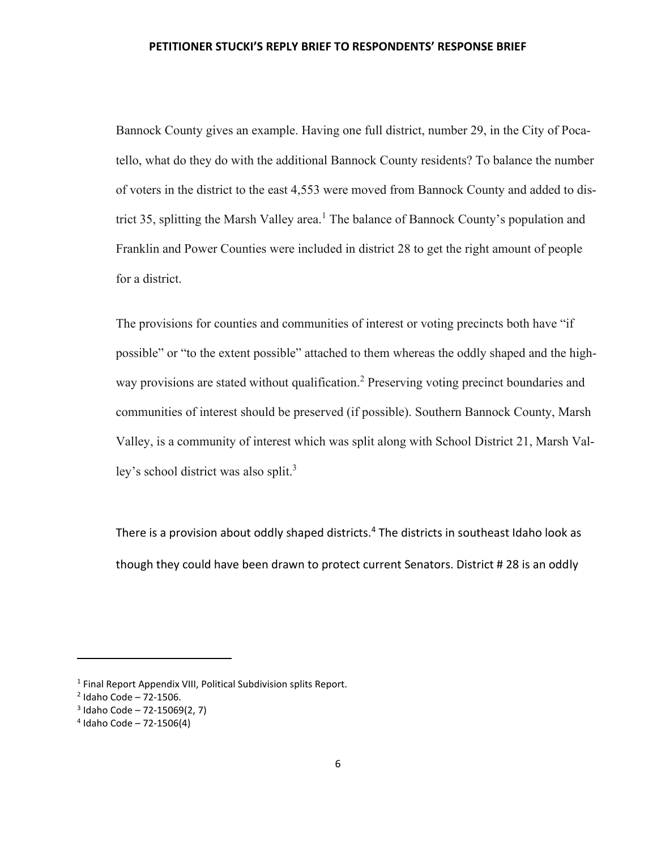Bannock County gives an example. Having one full district, number 29, in the City of Pocatello, what do they do with the additional Bannock County residents? To balance the number of voters in the district to the east 4,553 were moved from Bannock County and added to district 35, splitting the Marsh Valley area.<sup>1</sup> The balance of Bannock County's population and Franklin and Power Counties were included in district 28 to get the right amount of people for a district.

The provisions for counties and communities of interest or voting precincts both have "if possible" or "to the extent possible" attached to them whereas the oddly shaped and the highway provisions are stated without qualification.<sup>2</sup> Preserving voting precinct boundaries and communities of interest should be preserved (if possible). Southern Bannock County, Marsh Valley, is a community of interest which was split along with School District 21, Marsh Valley's school district was also split. $3$ 

There is a provision about oddly shaped districts. $4$  The districts in southeast Idaho look as though they could have been drawn to protect current Senators. District # 28 is an oddly

<sup>&</sup>lt;sup>1</sup> Final Report Appendix VIII, Political Subdivision splits Report.

 $2$  Idaho Code – 72-1506.

<sup>3</sup> Idaho Code – 72-15069(2, 7)

<sup>4</sup> Idaho Code – 72-1506(4)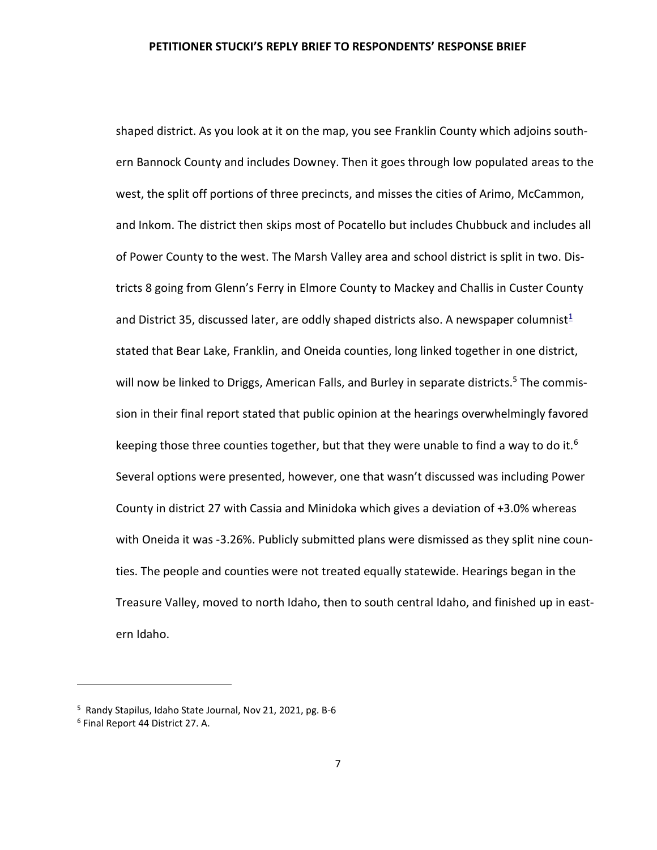shaped district. As you look at it on the map, you see Franklin County which adjoins southern Bannock County and includes Downey. Then it goes through low populated areas to the west, the split off portions of three precincts, and misses the cities of Arimo, McCammon, and Inkom. The district then skips most of Pocatello but includes Chubbuck and includes all of Power County to the west. The Marsh Valley area and school district is split in two. Districts 8 going from Glenn's Ferry in Elmore County to Mackey and Challis in Custer County and District 35, discussed later, are oddly shaped districts also. A newspaper columnist<sup>1</sup> stated that Bear Lake, Franklin, and Oneida counties, long linked together in one district, will now be linked to Driggs, American Falls, and Burley in separate districts.<sup>5</sup> The commission in their final report stated that public opinion at the hearings overwhelmingly favored keeping those three counties together, but that they were unable to find a way to do it.<sup>6</sup> Several options were presented, however, one that wasn't discussed was including Power County in district 27 with Cassia and Minidoka which gives a deviation of +3.0% whereas with Oneida it was -3.26%. Publicly submitted plans were dismissed as they split nine counties. The people and counties were not treated equally statewide. Hearings began in the Treasure Valley, moved to north Idaho, then to south central Idaho, and finished up in eastern Idaho.

<sup>&</sup>lt;sup>5</sup> Randy Stapilus, Idaho State Journal, Nov 21, 2021, pg. B-6

<sup>6</sup> Final Report 44 District 27. A.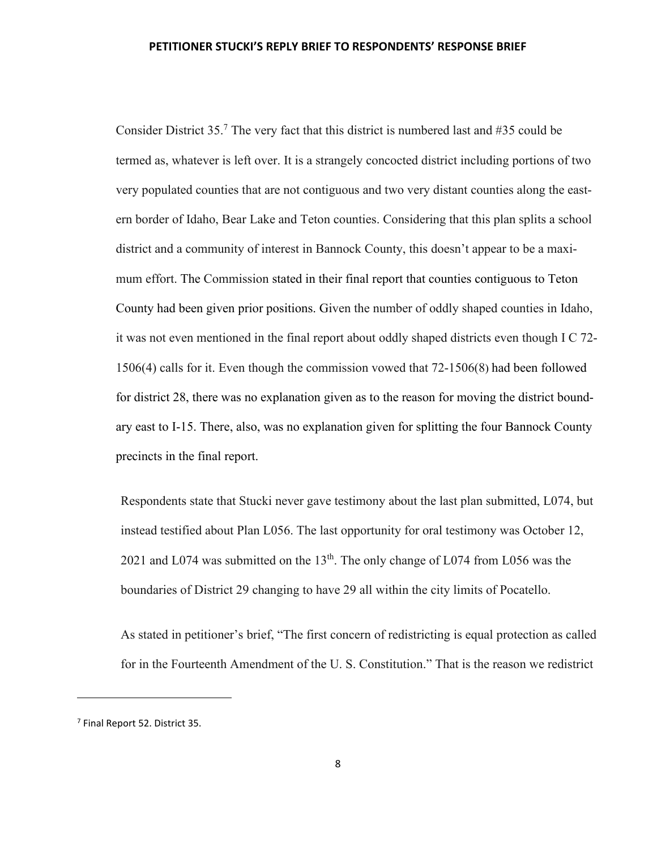Consider District  $35$ .<sup>7</sup> The very fact that this district is numbered last and #35 could be termed as, whatever is left over. It is a strangely concocted district including portions of two very populated counties that are not contiguous and two very distant counties along the eastern border of Idaho, Bear Lake and Teton counties. Considering that this plan splits a school district and a community of interest in Bannock County, this doesn't appear to be a maximum effort. The Commission stated in their final report that counties contiguous to Teton County had been given prior positions. Given the number of oddly shaped counties in Idaho, it was not even mentioned in the final report about oddly shaped districts even though I C 72- 1506(4) calls for it. Even though the commission vowed that 72-1506(8) had been followed for district 28, there was no explanation given as to the reason for moving the district boundary east to I-15. There, also, was no explanation given for splitting the four Bannock County precincts in the final report.

Respondents state that Stucki never gave testimony about the last plan submitted, L074, but instead testified about Plan L056. The last opportunity for oral testimony was October 12, 2021 and L074 was submitted on the 13<sup>th</sup>. The only change of L074 from L056 was the boundaries of District 29 changing to have 29 all within the city limits of Pocatello.

As stated in petitioner's brief, "The first concern of redistricting is equal protection as called for in the Fourteenth Amendment of the U. S. Constitution." That is the reason we redistrict

<sup>7</sup> Final Report 52. District 35.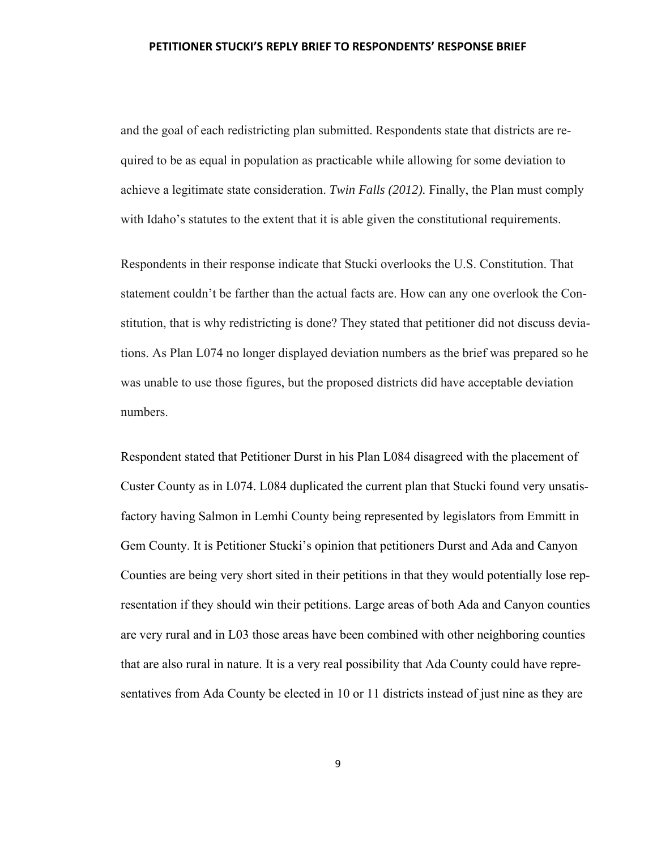and the goal of each redistricting plan submitted. Respondents state that districts are required to be as equal in population as practicable while allowing for some deviation to achieve a legitimate state consideration. *Twin Falls (2012).* Finally, the Plan must comply with Idaho's statutes to the extent that it is able given the constitutional requirements.

Respondents in their response indicate that Stucki overlooks the U.S. Constitution. That statement couldn't be farther than the actual facts are. How can any one overlook the Constitution, that is why redistricting is done? They stated that petitioner did not discuss deviations. As Plan L074 no longer displayed deviation numbers as the brief was prepared so he was unable to use those figures, but the proposed districts did have acceptable deviation numbers.

Respondent stated that Petitioner Durst in his Plan L084 disagreed with the placement of Custer County as in L074. L084 duplicated the current plan that Stucki found very unsatisfactory having Salmon in Lemhi County being represented by legislators from Emmitt in Gem County. It is Petitioner Stucki's opinion that petitioners Durst and Ada and Canyon Counties are being very short sited in their petitions in that they would potentially lose representation if they should win their petitions. Large areas of both Ada and Canyon counties are very rural and in L03 those areas have been combined with other neighboring counties that are also rural in nature. It is a very real possibility that Ada County could have representatives from Ada County be elected in 10 or 11 districts instead of just nine as they are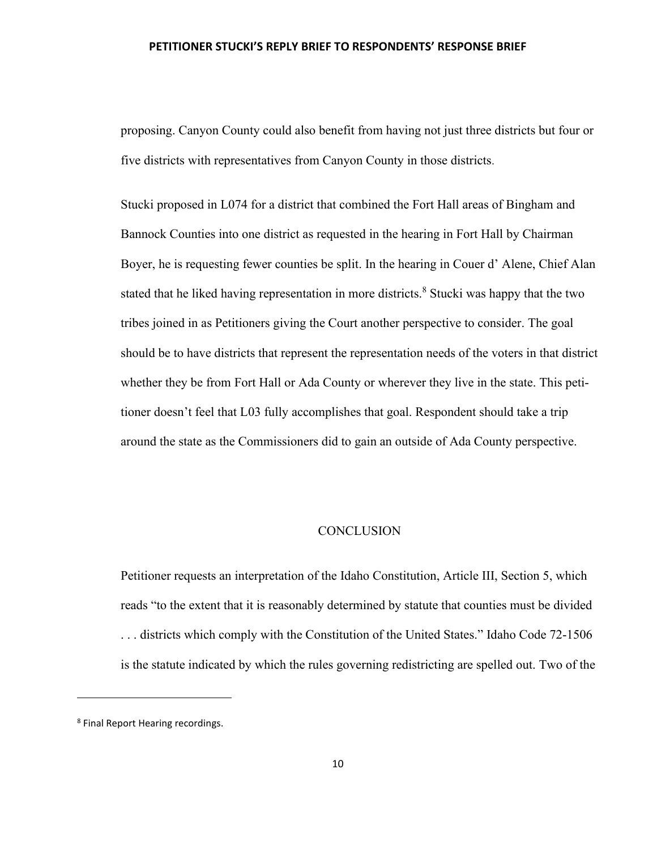proposing. Canyon County could also benefit from having not just three districts but four or five districts with representatives from Canyon County in those districts.

Stucki proposed in L074 for a district that combined the Fort Hall areas of Bingham and Bannock Counties into one district as requested in the hearing in Fort Hall by Chairman Boyer, he is requesting fewer counties be split. In the hearing in Couer d' Alene, Chief Alan stated that he liked having representation in more districts.<sup>8</sup> Stucki was happy that the two tribes joined in as Petitioners giving the Court another perspective to consider. The goal should be to have districts that represent the representation needs of the voters in that district whether they be from Fort Hall or Ada County or wherever they live in the state. This petitioner doesn't feel that L03 fully accomplishes that goal. Respondent should take a trip around the state as the Commissioners did to gain an outside of Ada County perspective.

## **CONCLUSION**

Petitioner requests an interpretation of the Idaho Constitution, Article III, Section 5, which reads "to the extent that it is reasonably determined by statute that counties must be divided . . . districts which comply with the Constitution of the United States." Idaho Code 72-1506 is the statute indicated by which the rules governing redistricting are spelled out. Two of the

<sup>&</sup>lt;sup>8</sup> Final Report Hearing recordings.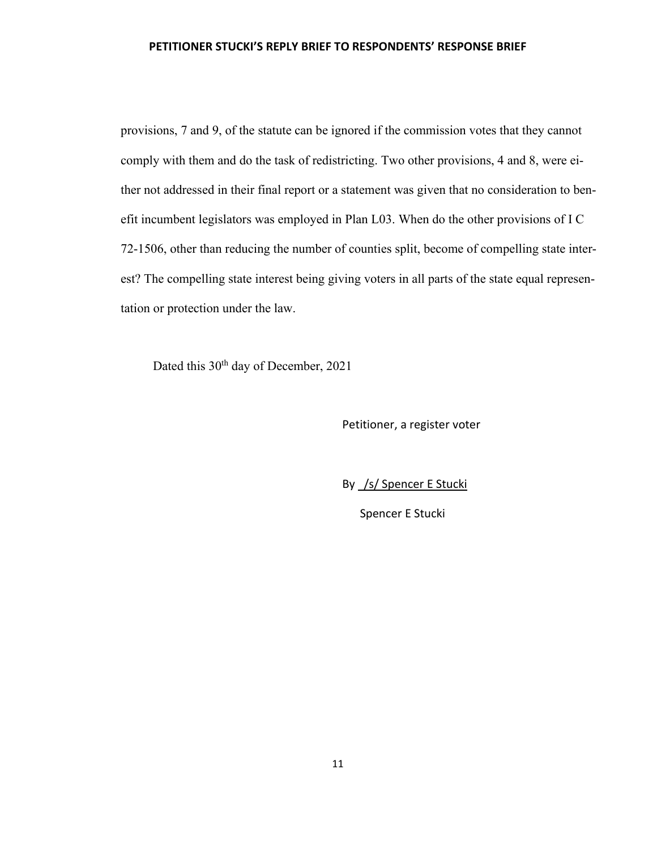provisions, 7 and 9, of the statute can be ignored if the commission votes that they cannot comply with them and do the task of redistricting. Two other provisions, 4 and 8, were either not addressed in their final report or a statement was given that no consideration to benefit incumbent legislators was employed in Plan L03. When do the other provisions of I C 72-1506, other than reducing the number of counties split, become of compelling state interest? The compelling state interest being giving voters in all parts of the state equal representation or protection under the law.

Dated this 30<sup>th</sup> day of December, 2021

Petitioner, a register voter

By /s/ Spencer E Stucki

Spencer E Stucki